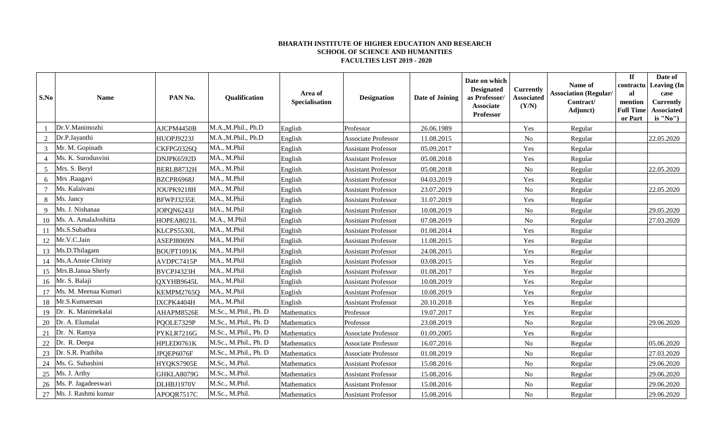## **BHARATH INSTITUTE OF HIGHER EDUCATION AND RESEARCH SCHOOL OF SCIENCE AND HUMANITIES FACULTIES LIST 2019 - 2020**

| S.No   | <b>Name</b>              | PAN No.    | Qualification         | Area of<br>Specialisation | <b>Designation</b>         | Date of Joining | Date on which<br><b>Designated</b><br>as Professor/<br><b>Associate</b><br>Professor | <b>Currently</b><br><b>Associated</b><br>(Y/N) | Name of<br><b>Association (Regular/</b><br>Contract/<br>Adjunct) | If<br>contractu<br>al<br>mention<br><b>Full Time</b><br>or Part | Date of<br>Leaving (In<br>case<br><b>Currently</b><br><b>Associated</b><br>is "No") |
|--------|--------------------------|------------|-----------------------|---------------------------|----------------------------|-----------------|--------------------------------------------------------------------------------------|------------------------------------------------|------------------------------------------------------------------|-----------------------------------------------------------------|-------------------------------------------------------------------------------------|
|        | Dr.V.Manimozhi           | AJCPM4450B | M.A.,M.Phil., Ph.D    | English                   | Professor                  | 26.06.1989      |                                                                                      | Yes                                            | Regular                                                          |                                                                 |                                                                                     |
|        | Dr.P.Jayanthi            | HUOPJ9223J | M.A.,M.Phil., Ph.D    | English                   | Associate Professor        | 11.08.2015      |                                                                                      | N <sub>o</sub>                                 | Regular                                                          |                                                                 | 22.05.2020                                                                          |
| 3      | Mr. M. Gopinath          | CKFPG0326Q | MA., M.Phil           | English                   | <b>Assistant Professor</b> | 05.09.2017      |                                                                                      | Yes                                            | Regular                                                          |                                                                 |                                                                                     |
|        | Ms. K. Surodusvini       | DNJPK6592D | MA., M.Phil           | English                   | <b>Assistant Professor</b> | 05.08.2018      |                                                                                      | Yes                                            | Regular                                                          |                                                                 |                                                                                     |
| 5      | Mrs. S. Beryl            | BERLB8732H | MA., M.Phil           | English                   | <b>Assistant Professor</b> | 05.08.2018      |                                                                                      | No                                             | Regular                                                          |                                                                 | 22.05.2020                                                                          |
| 6      | Mrs .Raagavi             | BZCPR6968J | MA., M.Phil           | English                   | <b>Assistant Professor</b> | 04.03.2019      |                                                                                      | Yes                                            | Regular                                                          |                                                                 |                                                                                     |
| $\tau$ | Ms. Kalaivani            | JOUPK9218H | MA., M.Phil           | English                   | <b>Assistant Professor</b> | 23.07.2019      |                                                                                      | N <sub>o</sub>                                 | Regular                                                          |                                                                 | 22.05.2020                                                                          |
| 8      | Ms. Jancy                | BFWPJ3235E | MA., M.Phil           | English                   | <b>Assistant Professor</b> | 31.07.2019      |                                                                                      | Yes                                            | Regular                                                          |                                                                 |                                                                                     |
|        | Ms. J. Nishanaa          | JOPQN6243J | MA., M.Phil           | English                   | <b>Assistant Professor</b> | 10.08.2019      |                                                                                      | N <sub>o</sub>                                 | Regular                                                          |                                                                 | 29.05.2020                                                                          |
| 10     | Ms. A. AmalaJoshitta     | HOPEA8021L | M.A., M.Phil          | English                   | <b>Assistant Professor</b> | 07.08.2019      |                                                                                      | N <sub>o</sub>                                 | Regular                                                          |                                                                 | 27.03.2020                                                                          |
| 11     | Ms.S.Subathra            | KLCPS5530L | MA., M.Phil           | English                   | <b>Assistant Professor</b> | 01.08.2014      |                                                                                      | Yes                                            | Regular                                                          |                                                                 |                                                                                     |
| 12     | Mr.V.C.Jain              | ASEPJ8069N | MA., M.Phil           | English                   | <b>Assistant Professor</b> | 11.08.2015      |                                                                                      | Yes                                            | Regular                                                          |                                                                 |                                                                                     |
| 13     | Ms.D.Thilagam            | BOUPT1091K | MA., M.Phil           | English                   | <b>Assistant Professor</b> | 24.08.2015      |                                                                                      | Yes                                            | Regular                                                          |                                                                 |                                                                                     |
|        | 14   Ms.A.Annie Christy  | AVDPC7415P | MA., M.Phil           | English                   | <b>Assistant Professor</b> | 03.08.2015      |                                                                                      | Yes                                            | Regular                                                          |                                                                 |                                                                                     |
|        | 15 Mrs.B.Janua Sherly    | BVCPJ4323H | MA., M.Phil           | English                   | <b>Assistant Professor</b> | 01.08.2017      |                                                                                      | Yes                                            | Regular                                                          |                                                                 |                                                                                     |
|        | 16 Mr. S. Balaji         | QXYHB9645L | MA., M.Phil           | English                   | <b>Assistant Professor</b> | 10.08.2019      |                                                                                      | Yes                                            | Regular                                                          |                                                                 |                                                                                     |
| 17     | Ms. M. Meenaa Kumari     | KEMPM2765Q | MA., M.Phil           | English                   | <b>Assistant Professor</b> | 10.08.2019      |                                                                                      | Yes                                            | Regular                                                          |                                                                 |                                                                                     |
| 18     | Mr.S.Kumaresan           | IXCPK4404H | MA., M.Phil           | English                   | <b>Assistant Professor</b> | 20.10.2018      |                                                                                      | Yes                                            | Regular                                                          |                                                                 |                                                                                     |
| 19     | Dr. K. Manimekalai       | AHAPM8526E | M.Sc., M.Phil., Ph. D | Mathematics               | Professor                  | 19.07.2017      |                                                                                      | Yes                                            | Regular                                                          |                                                                 |                                                                                     |
| 20     | Dr. A. Elumalai          | PQOLE7329P | M.Sc., M.Phil., Ph. D | Mathematics               | Professor                  | 23.08.2019      |                                                                                      | N <sub>o</sub>                                 | Regular                                                          |                                                                 | 29.06.2020                                                                          |
| 21     | Dr. N. Ramya             | PYKLR7216G | M.Sc., M.Phil., Ph. D | Mathematics               | Associate Professor        | 01.09.2005      |                                                                                      | Yes                                            | Regular                                                          |                                                                 |                                                                                     |
| 22     | Dr. R. Deepa             | HPLED0761K | M.Sc., M.Phil., Ph. D | Mathematics               | Associate Professor        | 16.07.2016      |                                                                                      | $\rm No$                                       | Regular                                                          |                                                                 | 05.06.2020                                                                          |
| 23     | Dr. S.R. Prathiba        | JPQEP6076F | M.Sc., M.Phil., Ph. D | Mathematics               | <b>Associate Professor</b> | 01.08.2019      |                                                                                      | N <sub>o</sub>                                 | Regular                                                          |                                                                 | 27.03.2020                                                                          |
| 24     | Ms. G. Subashini         | HYQKS7905E | M.Sc., M.Phil.        | Mathematics               | <b>Assistant Professor</b> | 15.08.2016      |                                                                                      | No                                             | Regular                                                          |                                                                 | 29.06.2020                                                                          |
|        | 25 Ms. J. Arthy          | GHKLA8079G | M.Sc., M.Phil.        | Mathematics               | <b>Assistant Professor</b> | 15.08.2016      |                                                                                      | N <sub>o</sub>                                 | Regular                                                          |                                                                 | 29.06.2020                                                                          |
| 26     | Ms. P. Jagadeeswari      | DLHBJ1970V | M.Sc., M.Phil.        | Mathematics               | <b>Assistant Professor</b> | 15.08.2016      |                                                                                      | N <sub>o</sub>                                 | Regular                                                          |                                                                 | 29.06.2020                                                                          |
|        | 27   Ms. J. Rashmi kumar | APOQR7517C | M.Sc., M.Phil.        | Mathematics               | <b>Assistant Professor</b> | 15.08.2016      |                                                                                      | N <sub>o</sub>                                 | Regular                                                          |                                                                 | 29.06.2020                                                                          |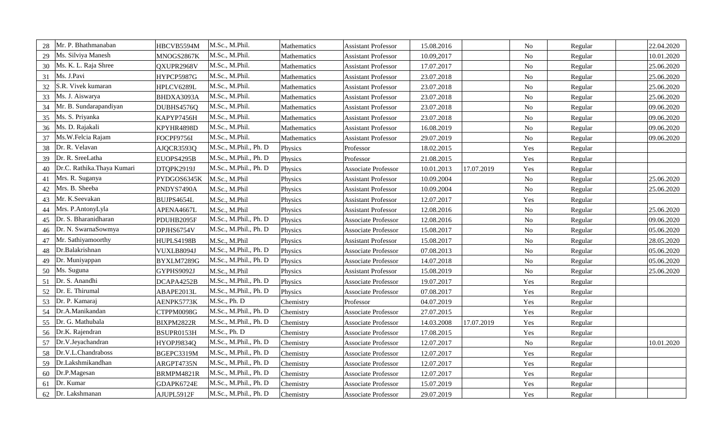| 28 | Mr. P. Bhathmanaban        | HBCVB5594M  | M.Sc., M.Phil.        | Mathematics | <b>Assistant Professor</b> | 15.08.2016 |            | $\rm No$       | Regular | 22.04.2020 |
|----|----------------------------|-------------|-----------------------|-------------|----------------------------|------------|------------|----------------|---------|------------|
| 29 | Ms. Silviya Manesh         | MNOGS2867K  | M.Sc., M.Phil.        | Mathematics | <b>Assistant Professor</b> | 10.09,2017 |            | N <sub>o</sub> | Regular | 10.01.2020 |
| 30 | Ms. K. L. Raja Shree       | QXUPR2968V  | M.Sc., M.Phil.        | Mathematics | <b>Assistant Professor</b> | 17.07.2017 |            | N <sub>o</sub> | Regular | 25.06.2020 |
| 31 | Ms. J.Pavi                 | HYPCP5987G  | M.Sc., M.Phil.        | Mathematics | <b>Assistant Professor</b> | 23.07.2018 |            | N <sub>o</sub> | Regular | 25.06.2020 |
| 32 | S.R. Vivek kumaran         | HPLCV6289L  | M.Sc., M.Phil.        | Mathematics | <b>Assistant Professor</b> | 23.07.2018 |            | No             | Regular | 25.06.2020 |
| 33 | Ms. J. Aiswarya            | BHDXA3093A  | M.Sc., M.Phil.        | Mathematics | <b>Assistant Professor</b> | 23.07.2018 |            | $\rm No$       | Regular | 25.06.2020 |
| 34 | Mr. B. Sundarapandiyan     | DUBHS4576Q  | M.Sc., M.Phil.        | Mathematics | <b>Assistant Professor</b> | 23.07.2018 |            | $\rm No$       | Regular | 09.06.2020 |
| 35 | Ms. S. Priyanka            | KAPYP7456H  | M.Sc., M.Phil.        | Mathematics | <b>Assistant Professor</b> | 23.07.2018 |            | $\rm No$       | Regular | 09.06.2020 |
| 36 | Ms. D. Rajakali            | KPYHR4898D  | M.Sc., M.Phil.        | Mathematics | <b>Assistant Professor</b> | 16.08.2019 |            | N <sub>o</sub> | Regular | 09.06.2020 |
| 37 | Ms.W.Felcia Rajam          | FOCPF9756I  | M.Sc., M.Phil.        | Mathematics | <b>Assistant Professor</b> | 29.07.2019 |            | $\rm No$       | Regular | 09.06.2020 |
| 38 | Dr. R. Velavan             | AJQCR3593Q  | M.Sc., M.Phil., Ph. D | Physics     | Professor                  | 18.02.2015 |            | Yes            | Regular |            |
| 39 | Dr. R. SreeLatha           | EUOPS4295B  | M.Sc., M.Phil., Ph. D | Physics     | Professor                  | 21.08.2015 |            | Yes            | Regular |            |
| 40 | Dr.C. Rathika.Thaya Kumari | DTQPK2919J  | M.Sc., M.Phil., Ph. D | Physics     | Associate Professor        | 10.01.2013 | 17.07.2019 | Yes            | Regular |            |
| 41 | Mrs. R. Suganya            | PYDGOS6345K | M.Sc., M.Phil         | Physics     | <b>Assistant Professor</b> | 10.09.2004 |            | $\rm No$       | Regular | 25.06.2020 |
| 42 | Mrs. B. Sheeba             | PNDYS7490A  | M.Sc., M.Phil         | Physics     | <b>Assistant Professor</b> | 10.09.2004 |            | $\rm No$       | Regular | 25.06.2020 |
| 43 | Mr. K.Seevakan             | BUJPS4654L  | M.Sc., M.Phil         | Physics     | <b>Assistant Professor</b> | 12.07.2017 |            | Yes            | Regular |            |
| 44 | Mrs. P.AntonyLyla          | APENA4667L  | M.Sc., M.Phil         | Physics     | <b>Assistant Professor</b> | 12.08.2016 |            | N <sub>o</sub> | Regular | 25.06.2020 |
| 45 | Dr. S. Bharanidharan       | PDUHB2095F  | M.Sc., M.Phil., Ph. D | Physics     | Associate Professor        | 12.08.2016 |            | $\rm No$       | Regular | 09.06.2020 |
| 46 | Dr. N. SwarnaSowmya        | DPJHS6754V  | M.Sc., M.Phil., Ph. D | Physics     | <b>Associate Professor</b> | 15.08.2017 |            | $\rm No$       | Regular | 05.06.2020 |
| 47 | Mr. Sathiyamoorthy         | HUPLS4198B  | M.Sc., M.Phil         | Physics     | <b>Assistant Professor</b> | 15.08.2017 |            | N <sub>o</sub> | Regular | 28.05.2020 |
| 48 | Dr.Balakrishnan            | VUXLB8094J  | M.Sc., M.Phil., Ph. D | Physics     | Associate Professor        | 07.08.2013 |            | $\rm No$       | Regular | 05.06.2020 |
| 49 | Dr. Muniyappan             | BYXLM7289G  | M.Sc., M.Phil., Ph. D | Physics     | <b>Associate Professor</b> | 14.07.2018 |            | $\rm No$       | Regular | 05.06.2020 |
| 50 | Ms. Suguna                 | GYPHS9092J  | M.Sc., M.Phil         | Physics     | <b>Assistant Professor</b> | 15.08.2019 |            | $\rm No$       | Regular | 25.06.2020 |
| 51 | Dr. S. Anandhi             | DCAPA4252B  | M.Sc., M.Phil., Ph. D | Physics     | Associate Professor        | 19.07.2017 |            | Yes            | Regular |            |
| 52 | Dr. E. Thirumal            | ABAPE2013L  | M.Sc., M.Phil., Ph. D | Physics     | Associate Professor        | 07.08.2017 |            | Yes            | Regular |            |
| 53 | Dr. P. Kamaraj             | AENPK5773K  | M.Sc., Ph. D          | Chemistry   | Professor                  | 04.07.2019 |            | Yes            | Regular |            |
| 54 | Dr.A.Manikandan            | CTPPM0098G  | M.Sc., M.Phil., Ph. D | Chemistry   | Associate Professor        | 27.07.2015 |            | Yes            | Regular |            |
| 55 | Dr. G. Mathubala           | BIXPM2822R  | M.Sc., M.Phil., Ph. D | Chemistry   | Associate Professor        | 14.03.2008 | 17.07.2019 | Yes            | Regular |            |
| 56 | Dr.K. Rajendran            | BSUPR0153H  | M.Sc., Ph. D          | Chemistry   | Associate Professor        | 17.08.2015 |            | Yes            | Regular |            |
| 57 | Dr.V.Jeyachandran          | HYOPJ9834Q  | M.Sc., M.Phil., Ph. D | Chemistry   | <b>Associate Professor</b> | 12.07.2017 |            | $\rm No$       | Regular | 10.01.2020 |
| 58 | Dr.V.L.Chandraboss         | BGEPC3319M  | M.Sc., M.Phil., Ph. D | Chemistry   | Associate Professor        | 12.07.2017 |            | Yes            | Regular |            |
| 59 | Dr.Lakshmikandhan          | ARGPT4735N  | M.Sc., M.Phil., Ph. D | Chemistry   | Associate Professor        | 12.07.2017 |            | Yes            | Regular |            |
| 60 | Dr.P.Magesan               | BRMPM4821R  | M.Sc., M.Phil., Ph. D | Chemistry   | Associate Professor        | 12.07.2017 |            | Yes            | Regular |            |
| 61 | Dr. Kumar                  | GDAPK6724E  | M.Sc., M.Phil., Ph. D | Chemistry   | Associate Professor        | 15.07.2019 |            | Yes            | Regular |            |
| 62 | Dr. Lakshmanan             | AJUPL5912F  | M.Sc., M.Phil., Ph. D | Chemistry   | Associate Professor        | 29.07.2019 |            | Yes            | Regular |            |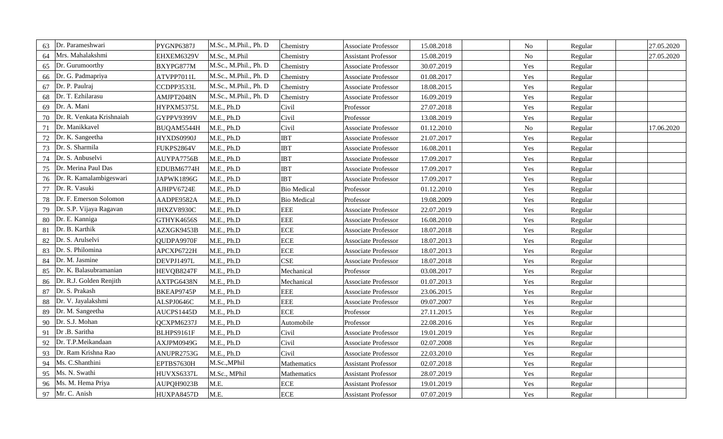| 63 | Dr. Parameshwari          | PYGNP6387J | M.Sc., M.Phil., Ph. D | Chemistry          | <b>Associate Professor</b> | 15.08.2018 | No             | Regular | 27.05.2020 |
|----|---------------------------|------------|-----------------------|--------------------|----------------------------|------------|----------------|---------|------------|
| 64 | Mrs. Mahalakshmi          | EHXEM6329V | M.Sc., M.Phil         | Chemistry          | <b>Assistant Professor</b> | 15.08.2019 | N <sub>o</sub> | Regular | 27.05.2020 |
| 65 | Dr. Gurumoorthy           | BXYPG877M  | M.Sc., M.Phil., Ph. D | Chemistry          | <b>Associate Professor</b> | 30.07.2019 | Yes            | Regular |            |
| 66 | Dr. G. Padmapriya         | ATVPP7011L | M.Sc., M.Phil., Ph. D | Chemistry          | <b>Associate Professor</b> | 01.08.2017 | Yes            | Regular |            |
| 67 | Dr. P. Paulraj            | CCDPP3533L | M.Sc., M.Phil., Ph. D | Chemistry          | Associate Professor        | 18.08.2015 | Yes            | Regular |            |
| 68 | Dr. T. Ezhilarasu         | AMJPT2048N | M.Sc., M.Phil., Ph. D | Chemistry          | <b>Associate Professor</b> | 16.09.2019 | Yes            | Regular |            |
| 69 | Dr. A. Mani               | HYPXM5375L | M.E., Ph.D            | Civil              | Professor                  | 27.07.2018 | Yes            | Regular |            |
| 70 | Dr. R. Venkata Krishnaiah | GYPPV9399V | M.E., Ph.D            | Civil              | Professor                  | 13.08.2019 | Yes            | Regular |            |
| 71 | Dr. Manikkavel            | BUQAM5544H | M.E., Ph.D            | Civil              | <b>Associate Professor</b> | 01.12.2010 | No             | Regular | 17.06.2020 |
| 72 | Dr. K. Sangeetha          | HYXDS0990J | M.E., Ph.D            | <b>IBT</b>         | <b>Associate Professor</b> | 21.07.2017 | Yes            | Regular |            |
| 73 | Dr. S. Sharmila           | FUKPS2864V | M.E., Ph.D            | <b>IBT</b>         | <b>Associate Professor</b> | 16.08.2011 | Yes            | Regular |            |
| 74 | Dr. S. Anbuselvi          | AUYPA7756B | M.E., Ph.D            | <b>IBT</b>         | Associate Professor        | 17.09.2017 | Yes            | Regular |            |
|    | 75   Dr. Merina Paul Das  | EDUBM6774H | M.E., Ph.D            | <b>IBT</b>         | Associate Professor        | 17.09.2017 | Yes            | Regular |            |
| 76 | Dr. R. Kamalambigeswari   | JAPWK1896G | M.E., Ph.D            | <b>IBT</b>         | <b>Associate Professor</b> | 17.09.2017 | Yes            | Regular |            |
| 77 | Dr. R. Vasuki             | AJHPV6724E | M.E., Ph.D            | <b>Bio Medical</b> | Professor                  | 01.12.2010 | Yes            | Regular |            |
| 78 | Dr. F. Emerson Solomon    | AADPE9582A | M.E., Ph.D            | <b>Bio Medical</b> | Professor                  | 19.08.2009 | Yes            | Regular |            |
| 79 | Dr. S.P. Vijaya Ragavan   | JHXZV8930C | M.E., Ph.D            | <b>EEE</b>         | <b>Associate Professor</b> | 22.07.2019 | Yes            | Regular |            |
| 80 | Dr. E. Kanniga            | GTHYK4656S | M.E., Ph.D            | <b>EEE</b>         | <b>Associate Professor</b> | 16.08.2010 | Yes            | Regular |            |
| 81 | Dr. B. Karthik            | AZXGK9453B | M.E., Ph.D            | <b>ECE</b>         | <b>Associate Professor</b> | 18.07.2018 | Yes            | Regular |            |
|    | 82 Dr. S. Arulselvi       | QUDPA9970F | M.E., Ph.D            | <b>ECE</b>         | Associate Professor        | 18.07.2013 | Yes            | Regular |            |
| 83 | Dr. S. Philomina          | APCXP6722H | M.E., Ph.D            | <b>ECE</b>         | <b>Associate Professor</b> | 18.07.2013 | Yes            | Regular |            |
| 84 | Dr. M. Jasmine            | DEVPJ1497L | M.E., Ph.D            | <b>CSE</b>         | <b>Associate Professor</b> | 18.07.2018 | Yes            | Regular |            |
| 85 | Dr. K. Balasubramanian    | HEVQB8247F | M.E., Ph.D            | Mechanical         | Professor                  | 03.08.2017 | Yes            | Regular |            |
| 86 | Dr. R.J. Golden Renjith   | AXTPG6438N | M.E., Ph.D            | Mechanical         | <b>Associate Professor</b> | 01.07.2013 | Yes            | Regular |            |
| 87 | Dr. S. Prakash            | BKEAP9745P | M.E., Ph.D            | <b>EEE</b>         | <b>Associate Professor</b> | 23.06.2015 | Yes            | Regular |            |
| 88 | Dr. V. Jayalakshmi        | ALSPJ0646C | M.E., Ph.D            | <b>EEE</b>         | <b>Associate Professor</b> | 09.07.2007 | Yes            | Regular |            |
| 89 | Dr. M. Sangeetha          | AUCPS1445D | M.E., Ph.D            | <b>ECE</b>         | Professor                  | 27.11.2015 | Yes            | Regular |            |
| 90 | Dr. S.J. Mohan            | QCXPM6237J | M.E., Ph.D            | Automobile         | Professor                  | 22.08.2016 | Yes            | Regular |            |
| 91 | Dr .B. Saritha            | BLHPS9161F | M.E., Ph.D            | Civil              | <b>Associate Professor</b> | 19.01.2019 | Yes            | Regular |            |
| 92 | Dr. T.P.Meikandaan        | AXJPM0949G | M.E., Ph.D            | Civil              | <b>Associate Professor</b> | 02.07.2008 | Yes            | Regular |            |
| 93 | Dr. Ram Krishna Rao       | ANUPR2753G | M.E., Ph.D            | Civil              | <b>Associate Professor</b> | 22.03.2010 | Yes            | Regular |            |
| 94 | Ms. C.Shanthini           | EPTBS7630H | M.Sc., MPhil          | Mathematics        | <b>Assistant Professor</b> | 02.07.2018 | Yes            | Regular |            |
| 95 | Ms. N. Swathi             | HUVXS6337L | M.Sc., MPhil          | Mathematics        | <b>Assistant Professor</b> | 28.07.2019 | Yes            | Regular |            |
| 96 | Ms. M. Hema Priya         | AUPQH9023B | M.E.                  | <b>ECE</b>         | <b>Assistant Professor</b> | 19.01.2019 | Yes            | Regular |            |
|    | 97 Mr. C. Anish           | HUXPA8457D | M.E.                  | <b>ECE</b>         | <b>Assistant Professor</b> | 07.07.2019 | Yes            | Regular |            |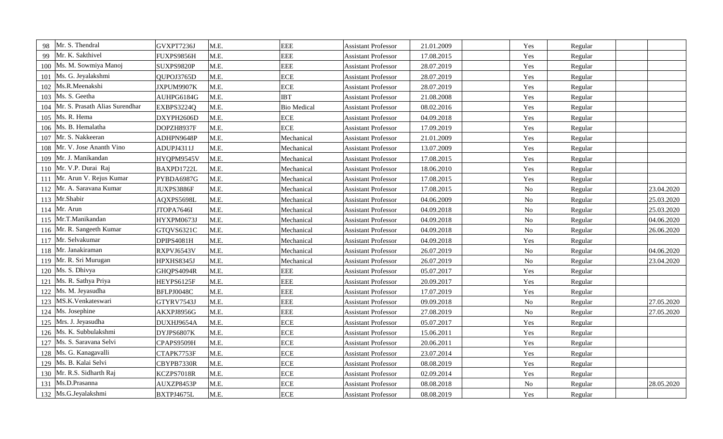| Mr. S. Thendral<br>98                 | GVXPT7236J | M.E. | <b>EEE</b>         | <b>Assistant Professor</b> | 21.01.2009 | Yes            | Regular |            |
|---------------------------------------|------------|------|--------------------|----------------------------|------------|----------------|---------|------------|
| Mr. K. Sakthivel<br>99                | FUXPS9856H | M.E. | <b>EEE</b>         | <b>Assistant Professor</b> | 17.08.2015 | Yes            | Regular |            |
| Ms. M. Sowmiya Manoj<br>100           | SUXPS9820P | M.E. | <b>EEE</b>         | <b>Assistant Professor</b> | 28.07.2019 | Yes            | Regular |            |
| Ms. G. Jeyalakshmi<br>101             | QUPOJ3765D | M.E. | <b>ECE</b>         | <b>Assistant Professor</b> | 28.07.2019 | Yes            | Regular |            |
| Ms.R.Meenakshi<br>102                 | JXPUM9907K | M.E. | <b>ECE</b>         | <b>Assistant Professor</b> | 28.07.2019 | Yes            | Regular |            |
| Ms. S. Geetha<br>103                  | AUHPG6184G | M.E. | <b>IBT</b>         | <b>Assistant Professor</b> | 21.08.2008 | Yes            | Regular |            |
| Mr. S. Prasath Alias Surendhar<br>104 | EXBPS3224Q | M.E. | <b>Bio Medical</b> | <b>Assistant Professor</b> | 08.02.2016 | Yes            | Regular |            |
| Ms. R. Hema<br>105                    | DXYPH2606D | M.E. | <b>ECE</b>         | <b>Assistant Professor</b> | 04.09.2018 | Yes            | Regular |            |
| Ms. B. Hemalatha<br>106               | DOPZH8937F | M.E. | <b>ECE</b>         | <b>Assistant Professor</b> | 17.09.2019 | Yes            | Regular |            |
| Mr. S. Nakkeeran<br>107               | ADHPN9648P | M.E. | Mechanical         | <b>Assistant Professor</b> | 21.01.2009 | Yes            | Regular |            |
| Mr. V. Jose Ananth Vino<br>108        | ADUPJ4311J | M.E. | Mechanical         | <b>Assistant Professor</b> | 13.07.2009 | Yes            | Regular |            |
| Mr. J. Manikandan<br>109              | HYQPM9545V | M.E. | Mechanical         | <b>Assistant Professor</b> | 17.08.2015 | Yes            | Regular |            |
| Mr. V.P. Durai Raj<br>110             | BAXPD1722L | M.E. | Mechanical         | <b>Assistant Professor</b> | 18.06.2010 | Yes            | Regular |            |
| Mr. Arun V. Rejus Kumar<br>111        | PYBDA6987G | M.E. | Mechanical         | <b>Assistant Professor</b> | 17.08.2015 | Yes            | Regular |            |
| Mr. A. Saravana Kumar<br>112          | JUXPS3886F | M.E. | Mechanical         | <b>Assistant Professor</b> | 17.08.2015 | N <sub>o</sub> | Regular | 23.04.2020 |
| Mr.Shabir<br>113                      | AQXPS5698L | M.E. | Mechanical         | <b>Assistant Professor</b> | 04.06.2009 | N <sub>o</sub> | Regular | 25.03.2020 |
| Mr. Arun<br>114                       | JTOPA7646I | M.E. | Mechanical         | <b>Assistant Professor</b> | 04.09.2018 | N <sub>o</sub> | Regular | 25.03.2020 |
| Mr.T.Manikandan<br>115                | HYXPM0673J | M.E. | Mechanical         | <b>Assistant Professor</b> | 04.09.2018 | $\rm No$       | Regular | 04.06.2020 |
| Mr. R. Sangeeth Kumar<br>116          | GTQVS6321C | M.E. | Mechanical         | <b>Assistant Professor</b> | 04.09.2018 | N <sub>o</sub> | Regular | 26.06.2020 |
| Mr. Selvakumar<br>117                 | DPIPS4081H | M.E. | Mechanical         | <b>Assistant Professor</b> | 04.09.2018 | Yes            | Regular |            |
| 118 Mr. Janakiraman                   | RXPVJ6543V | M.E. | Mechanical         | <b>Assistant Professor</b> | 26.07.2019 | N <sub>o</sub> | Regular | 04.06.2020 |
| Mr. R. Sri Murugan<br>119             | HPXHS8345J | M.E. | Mechanical         | <b>Assistant Professor</b> | 26.07.2019 | $\rm No$       | Regular | 23.04.2020 |
| Ms. S. Dhivya<br>120                  | GHQPS4094R | M.E. | <b>EEE</b>         | <b>Assistant Professor</b> | 05.07.2017 | Yes            | Regular |            |
| Ms. R. Sathya Priya<br>121            | HEYPS6125F | M.E. | <b>EEE</b>         | <b>Assistant Professor</b> | 20.09.2017 | Yes            | Regular |            |
| Ms. M. Jeyasudha<br>122               | BFLPJ0048C | M.E. | <b>EEE</b>         | <b>Assistant Professor</b> | 17.07.2019 | Yes            | Regular |            |
| MS.K.Venkateswari<br>123              | GTYRV7543J | M.E. | <b>EEE</b>         | <b>Assistant Professor</b> | 09.09.2018 | $\rm No$       | Regular | 27.05.2020 |
| Ms. Josephine<br>124                  | AKXPJ8956G | M.E. | <b>EEE</b>         | <b>Assistant Professor</b> | 27.08.2019 | N <sub>o</sub> | Regular | 27.05.2020 |
| 125 Mrs. J. Jeyasudha                 | DUXHJ9654A | M.E. | <b>ECE</b>         | <b>Assistant Professor</b> | 05.07.2017 | Yes            | Regular |            |
| Ms. K. Subbulakshmi<br>126            | DYJPS6807K | M.E. | <b>ECE</b>         | <b>Assistant Professor</b> | 15.06.2011 | Yes            | Regular |            |
| Ms. S. Saravana Selvi<br>127          | CPAPS9509H | M.E. | <b>ECE</b>         | <b>Assistant Professor</b> | 20.06.2011 | Yes            | Regular |            |
| Ms. G. Kanagavalli<br>128             | CTAPK7753F | M.E. | <b>ECE</b>         | <b>Assistant Professor</b> | 23.07.2014 | Yes            | Regular |            |
| Ms. B. Kalai Selvi<br>129             | CBYPB7330R | M.E. | <b>ECE</b>         | <b>Assistant Professor</b> | 08.08.2019 | Yes            | Regular |            |
| Mr. R.S. Sidharth Raj<br>130          | KCZPS7018R | M.E. | <b>ECE</b>         | <b>Assistant Professor</b> | 02.09.2014 | Yes            | Regular |            |
| Ms.D.Prasanna<br>131                  | AUXZP8453P | M.E. | <b>ECE</b>         | <b>Assistant Professor</b> | 08.08.2018 | N <sub>o</sub> | Regular | 28.05.2020 |
| 132 Ms.G.Jeyalakshmi                  | BXTPJ4675L | M.E. | <b>ECE</b>         | <b>Assistant Professor</b> | 08.08.2019 | Yes            | Regular |            |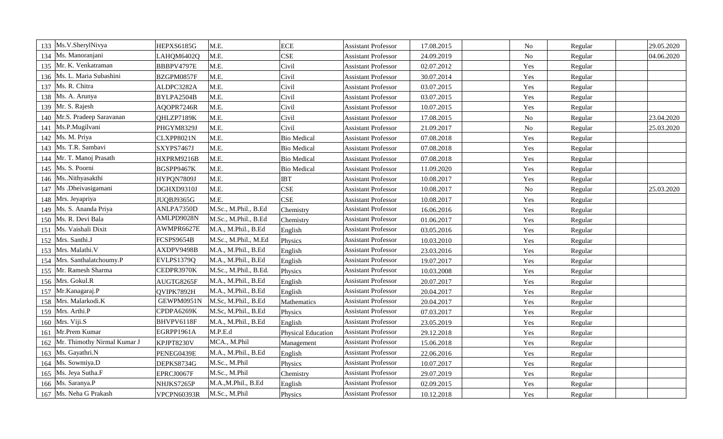| 133 | Ms.V.SherylNivya            | HEPXS6185G  | M.E.                  | <b>ECE</b>                | <b>Assistant Professor</b> | 17.08.2015 | N <sub>o</sub> | Regular | 29.05.2020 |
|-----|-----------------------------|-------------|-----------------------|---------------------------|----------------------------|------------|----------------|---------|------------|
| 134 | Ms. Manoranjani             | LAHQM6402Q  | M.E.                  | <b>CSE</b>                | <b>Assistant Professor</b> | 24.09.2019 | N <sub>o</sub> | Regular | 04.06.2020 |
| 135 | Mr. K. Venkatraman          | BBBPV4797E  | M.E.                  | Civil                     | <b>Assistant Professor</b> | 02.07.2012 | Yes            | Regular |            |
| 136 | Ms. L. Maria Subashini      | BZGPM0857F  | M.E.                  | Civil                     | <b>Assistant Professor</b> | 30.07.2014 | Yes            | Regular |            |
| 137 | Ms. R. Chitra               | ALDPC3282A  | M.E.                  | Civil                     | <b>Assistant Professor</b> | 03.07.2015 | Yes            | Regular |            |
|     | 138 Ms. A. Arunya           | BYLPA2504B  | M.E.                  | Civil                     | <b>Assistant Professor</b> | 03.07.2015 | Yes            | Regular |            |
| 139 | Mr. S. Rajesh               | AQOPR7246R  | M.E.                  | Civil                     | <b>Assistant Professor</b> | 10.07.2015 | Yes            | Regular |            |
| 140 | Mr.S. Pradeep Saravanan     | QHLZP7189K  | M.E.                  | Civil                     | <b>Assistant Professor</b> | 17.08.2015 | N <sub>o</sub> | Regular | 23.04.2020 |
| 141 | Ms.P.Mugilvani              | PHGYM8329J  | M.E.                  | Civil                     | <b>Assistant Professor</b> | 21.09.2017 | $\rm No$       | Regular | 25.03.2020 |
| 142 | Ms. M. Priya                | CLXPP8021N  | M.E.                  | <b>Bio Medical</b>        | <b>Assistant Professor</b> | 07.08.2018 | Yes            | Regular |            |
| 143 | Ms. T.R. Sambavi            | SXYPS7467J  | M.E.                  | <b>Bio Medical</b>        | Assistant Professor        | 07.08.2018 | Yes            | Regular |            |
| 144 | Mr. T. Manoj Prasath        | HXPRM9216B  | M.E.                  | <b>Bio Medical</b>        | <b>Assistant Professor</b> | 07.08.2018 | Yes            | Regular |            |
|     | 145   Ms. S. Poorni         | BGSPP9467K  | M.E.                  | <b>Bio Medical</b>        | <b>Assistant Professor</b> | 11.09.2020 | Yes            | Regular |            |
|     | 146 Ms. Nithyasakthi        | HYPQN7809J  | M.E.                  | <b>IBT</b>                | <b>Assistant Professor</b> | 10.08.2017 | Yes            | Regular |            |
| 147 | Ms .Dheivasigamani          | DGHXD9310J  | M.E.                  | <b>CSE</b>                | <b>Assistant Professor</b> | 10.08.2017 | N <sub>o</sub> | Regular | 25.03.2020 |
| 148 | Mrs. Jeyapriya              | JUQBJ9365G  | M.E.                  | <b>CSE</b>                | <b>Assistant Professor</b> | 10.08.2017 | Yes            | Regular |            |
| 149 | Ms. S. Ananda Priya         | ANLPA7350D  | M.Sc., M.Phil., B.Ed  | Chemistry                 | <b>Assistant Professor</b> | 16.06.2016 | Yes            | Regular |            |
| 150 | Ms. R. Devi Bala            | AMLPD9028N  | M.Sc., M.Phil., B.Ed  | Chemistry                 | <b>Assistant Professor</b> | 01.06.2017 | Yes            | Regular |            |
| 151 | Ms. Vaishali Dixit          | AWMPR6627E  | M.A., M.Phil., B.Ed   | English                   | <b>Assistant Professor</b> | 03.05.2016 | Yes            | Regular |            |
|     | 152 Mrs. Santhi.J           | FCSPS9654B  | M.Sc., M.Phil., M.Ed  | Physics                   | <b>Assistant Professor</b> | 10.03.2010 | Yes            | Regular |            |
|     | 153   Mrs. Malathi. V       | AXDPV9498B  | M.A., M.Phil., B.Ed   | English                   | <b>Assistant Professor</b> | 23.03.2016 | Yes            | Regular |            |
| 154 | Mrs. Santhalatchoumy.P      | EVLPS1379Q  | M.A., M.Phil., B.Ed   | English                   | <b>Assistant Professor</b> | 19.07.2017 | Yes            | Regular |            |
| 155 | Mr. Ramesh Sharma           | CEDPR3970K  | M.Sc., M.Phil., B.Ed. | Physics                   | <b>Assistant Professor</b> | 10.03.2008 | Yes            | Regular |            |
| 156 | Mrs. Gokul.R                | AUGTG8265F  | M.A., M.Phil., B.Ed   | English                   | <b>Assistant Professor</b> | 20.07.2017 | Yes            | Regular |            |
| 157 | Mr.Kanagaraj.P              | QVIPK7892H  | M.A., M.Phil., B.Ed   | English                   | <b>Assistant Professor</b> | 20.04.2017 | Yes            | Regular |            |
| 158 | Mrs. Malarkodi.K            | GEWPM0951N  | M.Sc, M.Phil., B.Ed   | Mathematics               | <b>Assistant Professor</b> | 20.04.2017 | Yes            | Regular |            |
|     | 159 Mrs. Arthi.P            | CPDPA6269K  | M.Sc, M.Phil., B.Ed   | Physics                   | <b>Assistant Professor</b> | 07.03.2017 | Yes            | Regular |            |
|     | 160 Mrs. Viji.S             | BHVPV6118F  | M.A., M.Phil., B.Ed   | English                   | <b>Assistant Professor</b> | 23.05.2019 | Yes            | Regular |            |
| 161 | Mr.Prem Kumar               | EGRPP1961A  | M.P.E.d               | <b>Physical Education</b> | <b>Assistant Professor</b> | 29.12.2018 | Yes            | Regular |            |
| 162 | Mr. Thimothy Nirmal Kumar J | KPJPT8230V  | MCA., M.Phil          | Management                | <b>Assistant Professor</b> | 15.06.2018 | Yes            | Regular |            |
| 163 | Ms. Gayathri.N              | PENEG0439E  | M.A., M.Phil., B.Ed   | English                   | <b>Assistant Professor</b> | 22.06.2016 | Yes            | Regular |            |
| 164 | Ms. Sowmiya.D               | DEPKS8734G  | M.Sc., M.Phil         | Physics                   | <b>Assistant Professor</b> | 10.07.2017 | Yes            | Regular |            |
| 165 | Ms. Jeya Sutha.F            | EPRCJ0067F  | M.Sc., M.Phil         | Chemistry                 | <b>Assistant Professor</b> | 29.07.2019 | Yes            | Regular |            |
|     | 166   Ms. Saranya.P         | NHJKS7265P  | M.A.,M.Phil., B.Ed    | English                   | <b>Assistant Professor</b> | 02.09.2015 | Yes            | Regular |            |
|     | 167 Ms. Neha G Prakash      | VPCPN60393R | M.Sc., M.Phil         | Physics                   | <b>Assistant Professor</b> | 10.12.2018 | Yes            | Regular |            |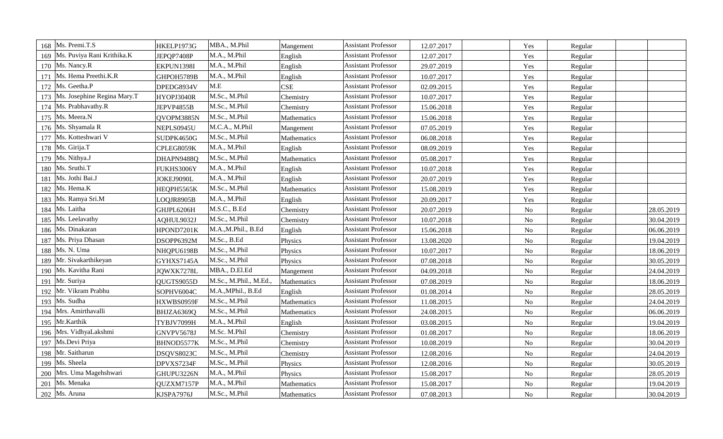|     | 168 Ms. Premi.T.S                 | HKELP1973G | MBA., M.Phil          | Mangement   | <b>Assistant Professor</b> | 12.07.2017 | Yes            | Regular |            |
|-----|-----------------------------------|------------|-----------------------|-------------|----------------------------|------------|----------------|---------|------------|
| 169 | Ms. Puviya Rani Krithika.K        | JEPQP7408P | M.A., M.Phil          | English     | <b>Assistant Professor</b> | 12.07.2017 | Yes            | Regular |            |
|     | 170 Ms. Nancy.R                   | EKPUN1398I | M.A., M.Phil          | English     | <b>Assistant Professor</b> | 29.07.2019 | Yes            | Regular |            |
|     | 171 Ms. Hema Preethi.K.R          | GHPOH5789B | M.A., M.Phil          | English     | <b>Assistant Professor</b> | 10.07.2017 | Yes            | Regular |            |
|     | 172 Ms. Geetha.P                  | DPEDG8934V | M.E                   | <b>CSE</b>  | <b>Assistant Professor</b> | 02.09.2015 | Yes            | Regular |            |
|     | 173   Ms. Josephine Regina Mary.T | HYOPJ3040R | M.Sc., M.Phil         | Chemistry   | <b>Assistant Professor</b> | 10.07.2017 | Yes            | Regular |            |
|     | 174 Ms. Prabhavathy.R             | JEPVP4855B | M.Sc., M.Phil         | Chemistry   | <b>Assistant Professor</b> | 15.06.2018 | Yes            | Regular |            |
|     | 175 Ms. Meera.N                   | QVOPM3885N | M.Sc., M.Phil         | Mathematics | <b>Assistant Professor</b> | 15.06.2018 | Yes            | Regular |            |
|     | 176   Ms. Shyamala R              | NEPLS0945U | M.C.A., M.Phil        | Mangement   | <b>Assistant Professor</b> | 07.05.2019 | Yes            | Regular |            |
| 177 | Ms. Kotteshwari V                 | SUDPK4650G | M.Sc., M.Phil         | Mathematics | <b>Assistant Professor</b> | 06.08.2018 | Yes            | Regular |            |
|     | 178 Ms. Girija.T                  | CPLEG8059K | M.A., M.Phil          | English     | <b>Assistant Professor</b> | 08.09.2019 | Yes            | Regular |            |
|     | 179 Ms. Nithya.J                  | DHAPN9488Q | M.Sc., M.Phil         | Mathematics | <b>Assistant Professor</b> | 05.08.2017 | Yes            | Regular |            |
|     | 180   Ms. Sruthi.T                | FUKHS3006Y | M.A., M.Phil          | English     | <b>Assistant Professor</b> | 10.07.2018 | Yes            | Regular |            |
|     | 181   Ms. Jothi Bai.J             | JOKEJ9090L | M.A., M.Phil          | English     | <b>Assistant Professor</b> | 20.07.2019 | Yes            | Regular |            |
| 182 | Ms. Hema.K                        | HEQPH5565K | M.Sc., M.Phil         | Mathematics | <b>Assistant Professor</b> | 15.08.2019 | Yes            | Regular |            |
| 183 | Ms. Ramya Sri.M                   | LOQJR8905B | M.A., M.Phil          | English     | <b>Assistant Professor</b> | 20.09.2017 | Yes            | Regular |            |
| 184 | Ms. Laitha                        | GHJPL6206H | M.S.C., B.Ed          | Chemistry   | <b>Assistant Professor</b> | 20.07.2019 | No             | Regular | 28.05.2019 |
| 185 | Ms. Leelavathy                    | AQHUL9032J | M.Sc., M.Phil         | Chemistry   | <b>Assistant Professor</b> | 10.07.2018 | No             | Regular | 30.04.2019 |
|     | 186 Ms. Dinakaran                 | HPOND7201K | M.A.,M.Phil., B.Ed    | English     | <b>Assistant Professor</b> | 15.06.2018 | $\rm No$       | Regular | 06.06.2019 |
|     | 187   Ms. Priya Dhasan            | DSOPP6392M | M.Sc., B.Ed           | Physics     | <b>Assistant Professor</b> | 13.08.2020 | No             | Regular | 19.04.2019 |
|     | 188   Ms. N. Uma                  | NHQPU6198B | M.Sc., M.Phil         | Physics     | <b>Assistant Professor</b> | 10.07.2017 | $\rm No$       | Regular | 18.06.2019 |
| 189 | Mr. Sivakarthikeyan               | GYHXS7145A | M.Sc., M.Phil         | Physics     | <b>Assistant Professor</b> | 07.08.2018 | $\rm No$       | Regular | 30.05.2019 |
| 190 | Ms. Kavitha Rani                  | JQWXK7278L | MBA., D.El.Ed         | Mangement   | <b>Assistant Professor</b> | 04.09.2018 | N <sub>o</sub> | Regular | 24.04.2019 |
| 191 | Mr. Suriya                        | QUGTS9055D | M.Sc., M.Phil., M.Ed. | Mathematics | <b>Assistant Professor</b> | 07.08.2019 | No             | Regular | 18.06.2019 |
| 192 | Mr. Vikram Prabhu                 | SOPHV6004C | M.A., MPhil., B.Ed    | English     | <b>Assistant Professor</b> | 01.08.2014 | No             | Regular | 28.05.2019 |
| 193 | Ms. Sudha                         | HXWBS0959F | M.Sc., M.Phil         | Mathematics | <b>Assistant Professor</b> | 11.08.2015 | $\rm No$       | Regular | 24.04.2019 |
|     | 194 Mrs. Amirthavalli             | BHJZA6369Q | M.Sc., M.Phil         | Mathematics | <b>Assistant Professor</b> | 24.08.2015 | N <sub>o</sub> | Regular | 06.06.2019 |
|     | 195 Mr.Karthik                    | TYBJV7099H | M.A., M.Phil          | English     | <b>Assistant Professor</b> | 03.08.2015 | No             | Regular | 19.04.2019 |
|     | 196 Mrs. VidhyaLakshmi            | GNVPV5678J | M.Sc. M.Phil          | Chemistry   | <b>Assistant Professor</b> | 01.08.2017 | $\rm No$       | Regular | 18.06.2019 |
| 197 | Ms.Devi Priya                     | BHNOD5577K | M.Sc., M.Phil         | Chemistry   | <b>Assistant Professor</b> | 10.08.2019 | N <sub>o</sub> | Regular | 30.04.2019 |
| 198 | Mr. Saitharun                     | DSQVS8023C | M.Sc., M.Phil         | Chemistry   | <b>Assistant Professor</b> | 12.08.2016 | N <sub>o</sub> | Regular | 24.04.2019 |
| 199 | Ms. Sheela                        | DPVXS7234F | M.Sc., M.Phil         | Physics     | <b>Assistant Professor</b> | 12.08.2016 | No             | Regular | 30.05.2019 |
| 200 | Mrs. Uma Magehshwari              | GHUPU3226N | M.A., M.Phil          | Physics     | <b>Assistant Professor</b> | 15.08.2017 | No             | Regular | 28.05.2019 |
| 201 | Ms. Menaka                        | QUZXM7157P | M.A., M.Phil          | Mathematics | <b>Assistant Professor</b> | 15.08.2017 | No             | Regular | 19.04.2019 |
|     | 202   Ms. Aruna                   | KJSPA7976J | M.Sc., M.Phil         | Mathematics | <b>Assistant Professor</b> | 07.08.2013 | N <sub>o</sub> | Regular | 30.04.2019 |